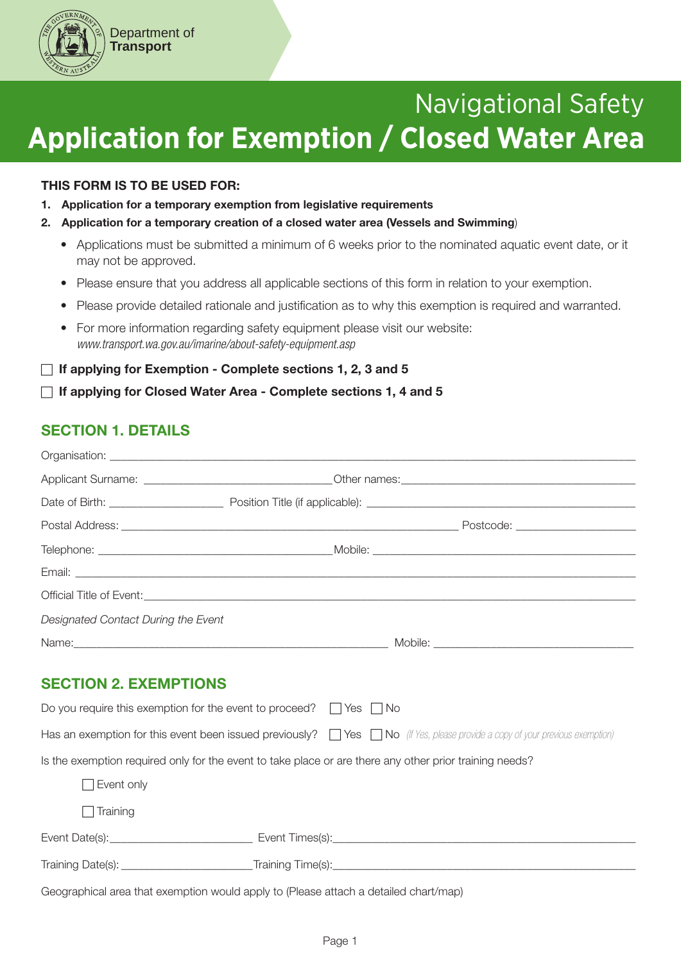

#### THIS FORM IS TO BE USED FOR:

Department of **Transport**

- 1. Application for a temporary exemption from legislative requirements
- 2. Application for a temporary creation of a closed water area (Vessels and Swimming)
	- Applications must be submitted a minimum of 6 weeks prior to the nominated aquatic event date, or it may not be approved.
	- Please ensure that you address all applicable sections of this form in relation to your exemption.
	- Please provide detailed rationale and justification as to why this exemption is required and warranted.
	- For more information regarding safety equipment please visit our website: *www.transport.wa.gov.au/imarine/about-safety-equipment.asp*

### $\Box$  If applying for Exemption - Complete sections 1, 2, 3 and 5

### $\Box$  If applying for Closed Water Area - Complete sections 1, 4 and 5

# SECTION 1. DETAILS

| Designated Contact During the Event |                                                                                                                                         |
|-------------------------------------|-----------------------------------------------------------------------------------------------------------------------------------------|
|                                     |                                                                                                                                         |
| <b>SECTION 2. EXEMPTIONS</b>        |                                                                                                                                         |
|                                     | Do you require this exemption for the event to proceed? $\Box$ Yes $\Box$ No                                                            |
|                                     | Has an exemption for this event been issued previously? $\Box$ Yes $\Box$ No (If Yes, please provide a copy of your previous exemption) |
|                                     | Is the exemption required only for the event to take place or are there any other prior training needs?                                 |
| Event only                          |                                                                                                                                         |
| Training                            |                                                                                                                                         |
|                                     |                                                                                                                                         |
|                                     |                                                                                                                                         |
|                                     |                                                                                                                                         |

Geographical area that exemption would apply to (Please attach a detailed chart/map)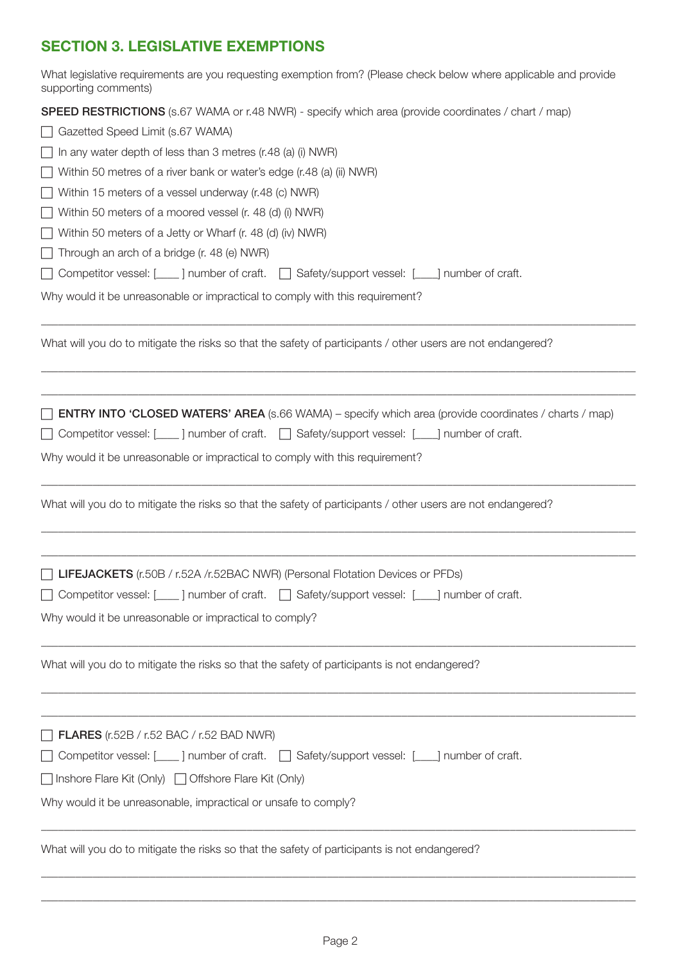# SECTION 3. LEGISLATIVE EXEMPTIONS

| What legislative requirements are you requesting exemption from? (Please check below where applicable and provide<br>supporting comments) |
|-------------------------------------------------------------------------------------------------------------------------------------------|
| <b>SPEED RESTRICTIONS</b> (s.67 WAMA or r.48 NWR) - specify which area (provide coordinates / chart / map)                                |
| Gazetted Speed Limit (s.67 WAMA)                                                                                                          |
| In any water depth of less than 3 metres (r.48 (a) (i) NWR)                                                                               |
| Within 50 metres of a river bank or water's edge (r.48 (a) (ii) NWR)                                                                      |
| Within 15 meters of a vessel underway (r.48 (c) NWR)                                                                                      |
| Within 50 meters of a moored vessel (r. 48 (d) (i) NWR)                                                                                   |
| Within 50 meters of a Jetty or Wharf (r. 48 (d) (iv) NWR)                                                                                 |
| Through an arch of a bridge (r. 48 (e) NWR)                                                                                               |
| □ Competitor vessel: [___] number of craft. □ Safety/support vessel: [___] number of craft.                                               |
| Why would it be unreasonable or impractical to comply with this requirement?                                                              |
| What will you do to mitigate the risks so that the safety of participants / other users are not endangered?                               |
| <b>ENTRY INTO 'CLOSED WATERS' AREA</b> (s.66 WAMA) – specify which area (provide coordinates / charts / map)                              |
| ◯ Competitor vessel: [____] number of craft. │ Safety/support vessel: [___] number of craft.                                              |
| Why would it be unreasonable or impractical to comply with this requirement?                                                              |
| What will you do to mitigate the risks so that the safety of participants / other users are not endangered?                               |
| [ LIFEJACKETS (r.50B / r.52A /r.52BAC NWR) (Personal Flotation Devices or PFDs)                                                           |
| □ Competitor vessel: [___] number of craft. □ Safety/support vessel: [___] number of craft.                                               |
| Why would it be unreasonable or impractical to comply?                                                                                    |
| What will you do to mitigate the risks so that the safety of participants is not endangered?                                              |
|                                                                                                                                           |
| $\Box$ FLARES (r.52B / r.52 BAC / r.52 BAD NWR)                                                                                           |
| □ Competitor vessel: [___] number of craft. □ Safety/support vessel: [___] number of craft.                                               |
| □ Inshore Flare Kit (Only) □ Offshore Flare Kit (Only)                                                                                    |
| Why would it be unreasonable, impractical or unsafe to comply?                                                                            |
| What will you do to mitigate the risks so that the safety of participants is not endangered?                                              |

\_\_\_\_\_\_\_\_\_\_\_\_\_\_\_\_\_\_\_\_\_\_\_\_\_\_\_\_\_\_\_\_\_\_\_\_\_\_\_\_\_\_\_\_\_\_\_\_\_\_\_\_\_\_\_\_\_\_\_\_\_\_\_\_\_\_\_\_\_\_\_\_\_\_\_\_\_\_\_\_\_\_\_\_\_\_\_\_\_\_\_\_\_\_\_\_\_\_\_\_\_\_\_\_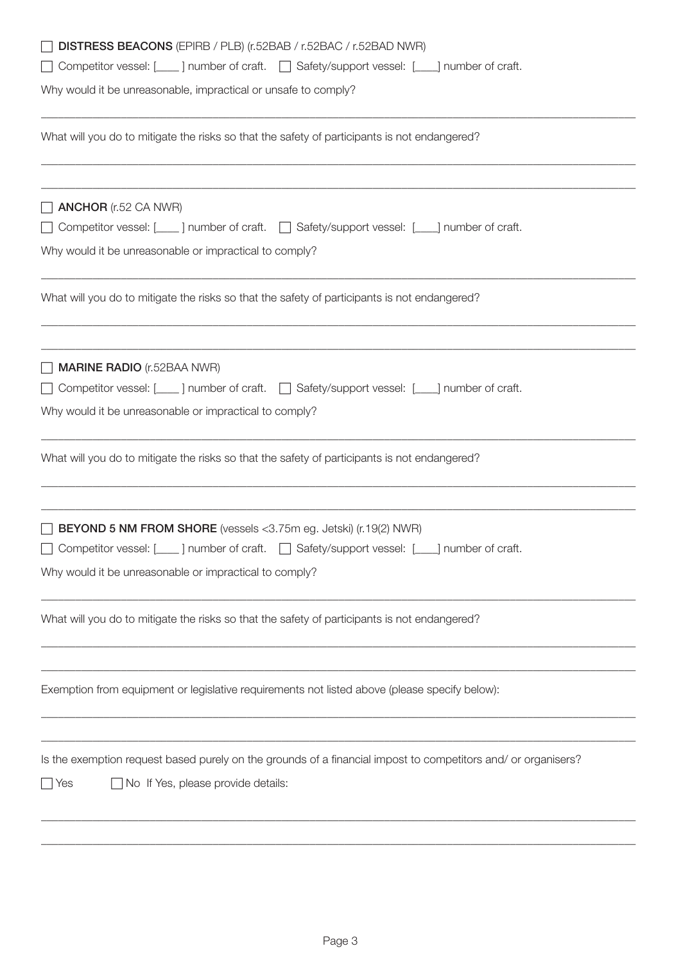| DISTRESS BEACONS (EPIRB / PLB) (r.52BAB / r.52BAC / r.52BAD NWR)                                                                                           |
|------------------------------------------------------------------------------------------------------------------------------------------------------------|
| Competitor vessel: [___] number of craft. [ _] Safety/support vessel: [___] number of craft.                                                               |
| Why would it be unreasonable, impractical or unsafe to comply?                                                                                             |
| What will you do to mitigate the risks so that the safety of participants is not endangered?                                                               |
| <b>ANCHOR</b> (r.52 CA NWR)                                                                                                                                |
| Competitor vessel: [____] number of craft. [ _] Safety/support vessel: [___] number of craft.                                                              |
| Why would it be unreasonable or impractical to comply?                                                                                                     |
| What will you do to mitigate the risks so that the safety of participants is not endangered?                                                               |
| <b>MARINE RADIO</b> (r.52BAA NWR)                                                                                                                          |
| □ Competitor vessel: [___] number of craft. □ Safety/support vessel: [___] number of craft.                                                                |
| Why would it be unreasonable or impractical to comply?                                                                                                     |
| What will you do to mitigate the risks so that the safety of participants is not endangered?                                                               |
| <b>BEYOND 5 NM FROM SHORE</b> (vessels <3.75m eg. Jetski) (r.19(2) NWR)                                                                                    |
| □ Competitor vessel: [___] number of craft. □ Safety/support vessel: [___] number of craft.                                                                |
| Why would it be unreasonable or impractical to comply?                                                                                                     |
| What will you do to mitigate the risks so that the safety of participants is not endangered?                                                               |
| Exemption from equipment or legislative requirements not listed above (please specify below):                                                              |
| Is the exemption request based purely on the grounds of a financial impost to competitors and/ or organisers?<br>No If Yes, please provide details:<br>Yes |
|                                                                                                                                                            |